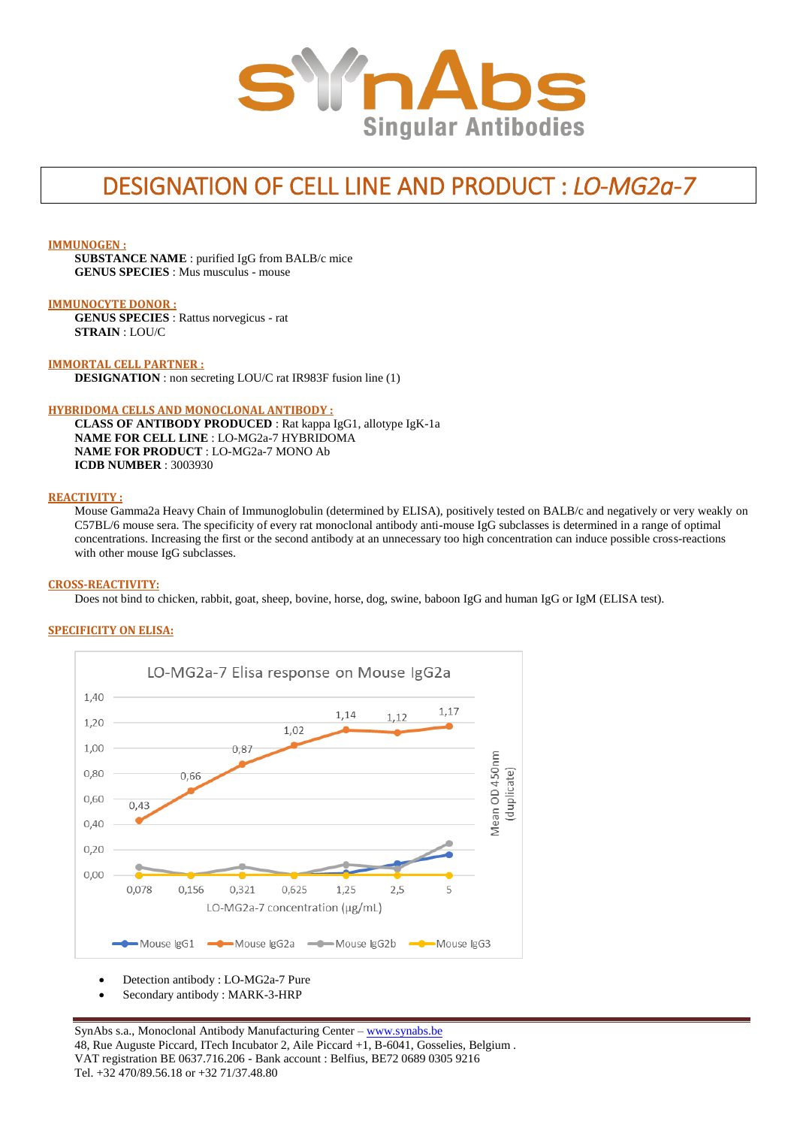

# DESIGNATION OF CELL LINE AND PRODUCT : *LO-MG2a-7*

#### **IMMUNOGEN :**

**SUBSTANCE NAME** : purified IgG from BALB/c mice **GENUS SPECIES** : Mus musculus - mouse

#### **IMMUNOCYTE DONOR :**

**GENUS SPECIES** : Rattus norvegicus - rat **STRAIN** : LOU/C

#### **IMMORTAL CELL PARTNER :**

**DESIGNATION** : non secreting LOU/C rat IR983F fusion line (1)

#### **HYBRIDOMA CELLS AND MONOCLONAL ANTIBODY :**

**CLASS OF ANTIBODY PRODUCED** : Rat kappa IgG1, allotype IgK-1a **NAME FOR CELL LINE** : LO-MG2a-7 HYBRIDOMA **NAME FOR PRODUCT** : LO-MG2a-7 MONO Ab **ICDB NUMBER** : 3003930

## **REACTIVITY :**

Mouse Gamma2a Heavy Chain of Immunoglobulin (determined by ELISA), positively tested on BALB/c and negatively or very weakly on C57BL/6 mouse sera. The specificity of every rat monoclonal antibody anti-mouse IgG subclasses is determined in a range of optimal concentrations. Increasing the first or the second antibody at an unnecessary too high concentration can induce possible cross-reactions with other mouse IgG subclasses.

#### **CROSS-REACTIVITY:**

Does not bind to chicken, rabbit, goat, sheep, bovine, horse, dog, swine, baboon IgG and human IgG or IgM (ELISA test).

#### **SPECIFICITY ON ELISA:**



Detection antibody : LO-MG2a-7 Pure

Secondary antibody : MARK-3-HRP

SynAbs s.a., Monoclonal Antibody Manufacturing Center - [www.synabs.be](http://www.synabs.be/) 48, Rue Auguste Piccard, ITech Incubator 2, Aile Piccard +1, B-6041, Gosselies, Belgium . VAT registration BE 0637.716.206 - Bank account : Belfius, BE72 0689 0305 9216 Tel. +32 470/89.56.18 or +32 71/37.48.80